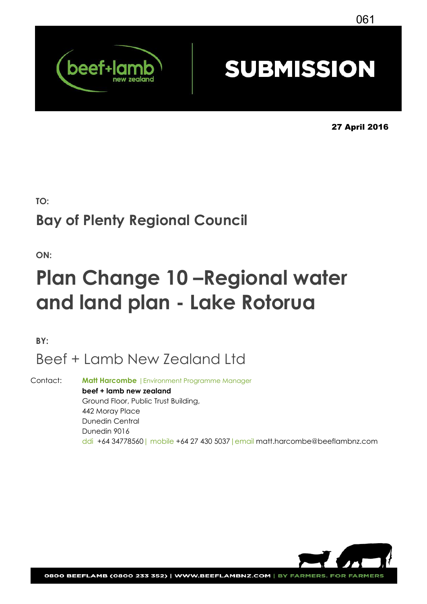

# **SUBMISSION**

27 April 2016

**TO:** 

## **Bay of Plenty Regional Council**

**ON:** 

# **Plan Change 10 –Regional water and land plan - Lake Rotorua**

**BY:**

## Beef + Lamb New Zealand Ltd

Contact: **Matt Harcombe** |Environment Programme Manager **beef + lamb new zealand** Ground Floor, Public Trust Building, 442 Moray Place Dunedin Central Dunedin 9016 ddi +64 34778560| mobile +64 27 430 5037|email matt.harcombe@beeflambnz.com

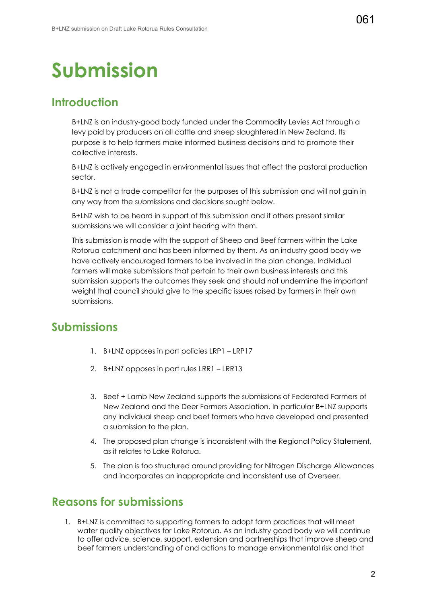# **Submission**

## **Introduction**

B+LNZ is an industry-good body funded under the Commodity Levies Act through a levy paid by producers on all cattle and sheep slaughtered in New Zealand. Its purpose is to help farmers make informed business decisions and to promote their collective interests.

B+LNZ is actively engaged in environmental issues that affect the pastoral production sector.

B+LNZ is not a trade competitor for the purposes of this submission and will not gain in any way from the submissions and decisions sought below.

B+LNZ wish to be heard in support of this submission and if others present similar submissions we will consider a joint hearing with them.

This submission is made with the support of Sheep and Beef farmers within the Lake Rotorua catchment and has been informed by them. As an industry good body we have actively encouraged farmers to be involved in the plan change. Individual farmers will make submissions that pertain to their own business interests and this submission supports the outcomes they seek and should not undermine the important weight that council should give to the specific issues raised by farmers in their own submissions.

## **Submissions**

- 1. B+LNZ opposes in part policies LRP1 LRP17
- 2. B+LNZ opposes in part rules LRR1 LRR13
- 3. Beef + Lamb New Zealand supports the submissions of Federated Farmers of New Zealand and the Deer Farmers Association. In particular B+LNZ supports any individual sheep and beef farmers who have developed and presented a submission to the plan.
- 4. The proposed plan change is inconsistent with the Regional Policy Statement, as it relates to Lake Rotorua.
- 5. The plan is too structured around providing for Nitrogen Discharge Allowances and incorporates an inappropriate and inconsistent use of Overseer.

## **Reasons for submissions**

1. B+LNZ is committed to supporting farmers to adopt farm practices that will meet water quality objectives for Lake Rotorua. As an industry good body we will continue to offer advice, science, support, extension and partnerships that improve sheep and beef farmers understanding of and actions to manage environmental risk and that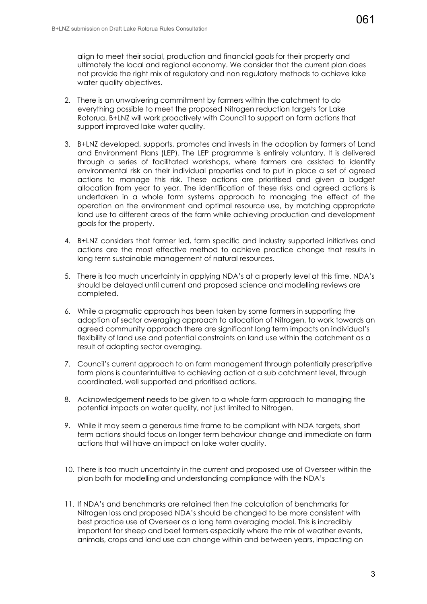align to meet their social, production and financial goals for their property and ultimately the local and regional economy. We consider that the current plan does not provide the right mix of regulatory and non regulatory methods to achieve lake water quality objectives.

- 2. There is an unwaivering commitment by farmers within the catchment to do everything possible to meet the proposed Nitrogen reduction targets for Lake Rotorua. B+LNZ will work proactively with Council to support on farm actions that support improved lake water quality.
- 3. B+LNZ developed, supports, promotes and invests in the adoption by farmers of Land and Environment Plans (LEP). The LEP programme is entirely voluntary. It is delivered through a series of facilitated workshops, where farmers are assisted to identify environmental risk on their individual properties and to put in place a set of agreed actions to manage this risk. These actions are prioritised and given a budget allocation from year to year. The identification of these risks and agreed actions is undertaken in a whole farm systems approach to managing the effect of the operation on the environment and optimal resource use, by matching appropriate land use to different areas of the farm while achieving production and development goals for the property.
- 4. B+LNZ considers that farmer led, farm specific and industry supported initiatives and actions are the most effective method to achieve practice change that results in long term sustainable management of natural resources.
- 5. There is too much uncertainty in applying NDA's at a property level at this time. NDA's should be delayed until current and proposed science and modelling reviews are completed.
- 6. While a pragmatic approach has been taken by some farmers in supporting the adoption of sector averaging approach to allocation of Nitrogen, to work towards an agreed community approach there are significant long term impacts on individual's flexibility of land use and potential constraints on land use within the catchment as a result of adopting sector averaging.
- 7. Council's current approach to on farm management through potentially prescriptive farm plans is counterintuitive to achieving action at a sub catchment level, through coordinated, well supported and prioritised actions.
- 8. Acknowledgement needs to be given to a whole farm approach to managing the potential impacts on water quality, not just limited to Nitrogen.
- 9. While it may seem a generous time frame to be compliant with NDA targets, short term actions should focus on longer term behaviour change and immediate on farm actions that will have an impact on lake water quality.
- 10. There is too much uncertainty in the current and proposed use of Overseer within the plan both for modelling and understanding compliance with the NDA's
- 11. If NDA's and benchmarks are retained then the calculation of benchmarks for Nitrogen loss and proposed NDA's should be changed to be more consistent with best practice use of Overseer as a long term averaging model. This is incredibly important for sheep and beef farmers especially where the mix of weather events, animals, crops and land use can change within and between years, impacting on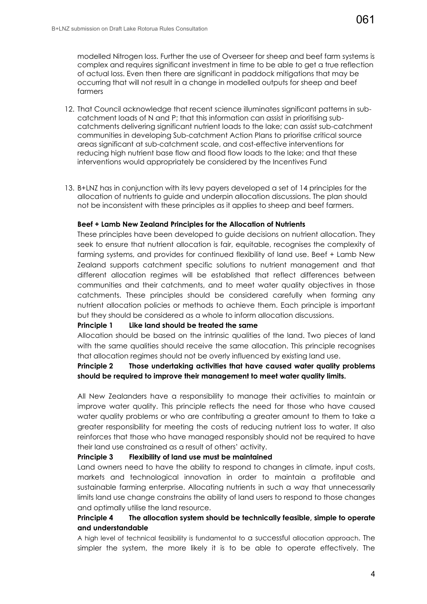modelled Nitrogen loss. Further the use of Overseer for sheep and beef farm systems is complex and requires significant investment in time to be able to get a true reflection of actual loss. Even then there are significant in paddock mitigations that may be occurring that will not result in a change in modelled outputs for sheep and beef farmers

- 12. That Council acknowledge that recent science illuminates significant patterns in subcatchment loads of N and P; that this information can assist in prioritising subcatchments delivering significant nutrient loads to the lake; can assist sub-catchment communities in developing Sub-catchment Action Plans to prioritise critical source areas significant at sub-catchment scale, and cost-effective interventions for reducing high nutrient base flow and flood flow loads to the lake; and that these interventions would appropriately be considered by the Incentives Fund
- 13. B+LNZ has in conjunction with its levy payers developed a set of 14 principles for the allocation of nutrients to guide and underpin allocation discussions. The plan should not be inconsistent with these principles as it applies to sheep and beef farmers.

#### **Beef + Lamb New Zealand Principles for the Allocation of Nutrients**

These principles have been developed to guide decisions on nutrient allocation. They seek to ensure that nutrient allocation is fair, equitable, recognises the complexity of farming systems, and provides for continued flexibility of land use. Beef + Lamb New Zealand supports catchment specific solutions to nutrient management and that different allocation regimes will be established that reflect differences between communities and their catchments, and to meet water quality objectives in those catchments. These principles should be considered carefully when forming any nutrient allocation policies or methods to achieve them. Each principle is important but they should be considered as a whole to inform allocation discussions.

#### **Principle 1 Like land should be treated the same**

Allocation should be based on the intrinsic qualities of the land. Two pieces of land with the same qualities should receive the same allocation. This principle recognises that allocation regimes should not be overly influenced by existing land use.

#### **Principle 2 Those undertaking activities that have caused water quality problems should be required to improve their management to meet water quality limits.**

All New Zealanders have a responsibility to manage their activities to maintain or improve water quality. This principle reflects the need for those who have caused water quality problems or who are contributing a greater amount to them to take a greater responsibility for meeting the costs of reducing nutrient loss to water. It also reinforces that those who have managed responsibly should not be required to have their land use constrained as a result of others' activity.

#### **Principle 3 Flexibility of land use must be maintained**

Land owners need to have the ability to respond to changes in climate, input costs, markets and technological innovation in order to maintain a profitable and sustainable farming enterprise. Allocating nutrients in such a way that unnecessarily limits land use change constrains the ability of land users to respond to those changes and optimally utilise the land resource.

### **Principle 4 The allocation system should be technically feasible, simple to operate and understandable**

A high level of technical feasibility is fundamental to a successful allocation approach. The simpler the system, the more likely it is to be able to operate effectively. The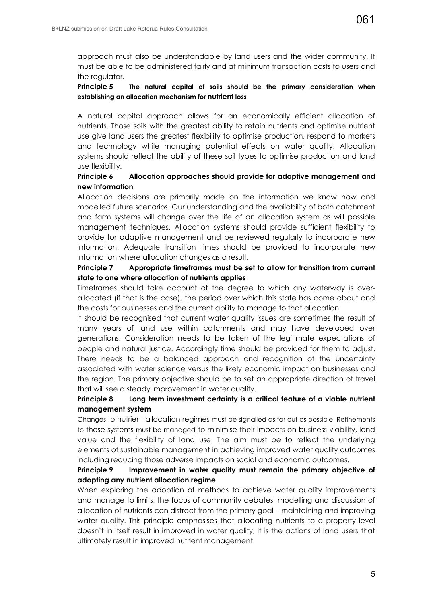approach must also be understandable by land users and the wider community. It must be able to be administered fairly and at minimum transaction costs to users and the regulator.

#### **Principle 5 The natural capital of soils should be the primary consideration when establishing an allocation mechanism for nutrient loss**

A natural capital approach allows for an economically efficient allocation of nutrients. Those soils with the greatest ability to retain nutrients and optimise nutrient use give land users the greatest flexibility to optimise production, respond to markets and technology while managing potential effects on water quality. Allocation systems should reflect the ability of these soil types to optimise production and land use flexibility.

#### **Principle 6 Allocation approaches should provide for adaptive management and new information**

Allocation decisions are primarily made on the information we know now and modelled future scenarios. Our understanding and the availability of both catchment and farm systems will change over the life of an allocation system as will possible management techniques. Allocation systems should provide sufficient flexibility to provide for adaptive management and be reviewed regularly to incorporate new information. Adequate transition times should be provided to incorporate new information where allocation changes as a result.

### **Principle 7 Appropriate timeframes must be set to allow for transition from current state to one where allocation of nutrients applies**

Timeframes should take account of the degree to which any waterway is overallocated (if that is the case), the period over which this state has come about and the costs for businesses and the current ability to manage to that allocation.

It should be recognised that current water quality issues are sometimes the result of many years of land use within catchments and may have developed over generations. Consideration needs to be taken of the legitimate expectations of people and natural justice. Accordingly time should be provided for them to adjust. There needs to be a balanced approach and recognition of the uncertainty associated with water science versus the likely economic impact on businesses and the region. The primary objective should be to set an appropriate direction of travel that will see a steady improvement in water quality.

### **Principle 8 Long term investment certainty is a critical feature of a viable nutrient management system**

Changes to nutrient allocation regimes must be signalled as far out as possible. Refinements to those systems must be managed to minimise their impacts on business viability, land value and the flexibility of land use. The aim must be to reflect the underlying elements of sustainable management in achieving improved water quality outcomes including reducing those adverse impacts on social and economic outcomes.

#### **Principle 9 Improvement in water quality must remain the primary objective of adopting any nutrient allocation regime**

When exploring the adoption of methods to achieve water quality improvements and manage to limits, the focus of community debates, modelling and discussion of allocation of nutrients can distract from the primary goal – maintaining and improving water quality. This principle emphasises that allocating nutrients to a property level doesn't in itself result in improved in water quality; it is the actions of land users that ultimately result in improved nutrient management.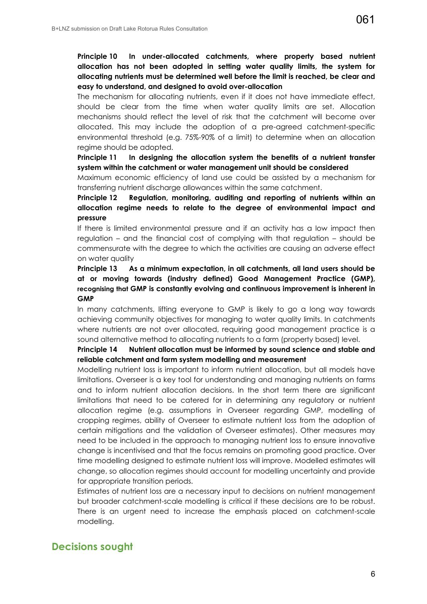#### **Principle 10 In under-allocated catchments, where property based nutrient allocation has not been adopted in setting water quality limits, the system for allocating nutrients must be determined well before the limit is reached, be clear and easy to understand, and designed to avoid over-allocation**

The mechanism for allocating nutrients, even if it does not have immediate effect, should be clear from the time when water quality limits are set. Allocation mechanisms should reflect the level of risk that the catchment will become over allocated. This may include the adoption of a pre-agreed catchment-specific environmental threshold (e.g. 75%-90% of a limit) to determine when an allocation regime should be adopted.

#### **Principle 11 In designing the allocation system the benefits of a nutrient transfer system within the catchment or water management unit should be considered**

Maximum economic efficiency of land use could be assisted by a mechanism for transferring nutrient discharge allowances within the same catchment.

#### **Principle 12 Regulation, monitoring, auditing and reporting of nutrients within an allocation regime needs to relate to the degree of environmental impact and pressure**

If there is limited environmental pressure and if an activity has a low impact then regulation – and the financial cost of complying with that regulation – should be commensurate with the degree to which the activities are causing an adverse effect on water quality

### **Principle 13 As a minimum expectation, in all catchments, all land users should be at or moving towards (industry defined) Good Management Practice (GMP), recognising that GMP is constantly evolving and continuous improvement is inherent in GMP**

In many catchments, lifting everyone to GMP is likely to go a long way towards achieving community objectives for managing to water quality limits. In catchments where nutrients are not over allocated, requiring good management practice is a sound alternative method to allocating nutrients to a farm (property based) level.

#### **Principle 14 Nutrient allocation must be informed by sound science and stable and reliable catchment and farm system modelling and measurement**

Modelling nutrient loss is important to inform nutrient allocation, but all models have limitations. Overseer is a key tool for understanding and managing nutrients on farms and to inform nutrient allocation decisions. In the short term there are significant limitations that need to be catered for in determining any regulatory or nutrient allocation regime (e.g. assumptions in Overseer regarding GMP, modelling of cropping regimes, ability of Overseer to estimate nutrient loss from the adoption of certain mitigations and the validation of Overseer estimates). Other measures may need to be included in the approach to managing nutrient loss to ensure innovative change is incentivised and that the focus remains on promoting good practice. Over time modelling designed to estimate nutrient loss will improve. Modelled estimates will change, so allocation regimes should account for modelling uncertainty and provide for appropriate transition periods.

Estimates of nutrient loss are a necessary input to decisions on nutrient management but broader catchment-scale modelling is critical if these decisions are to be robust. There is an urgent need to increase the emphasis placed on catchment-scale modelling.

### **Decisions sought**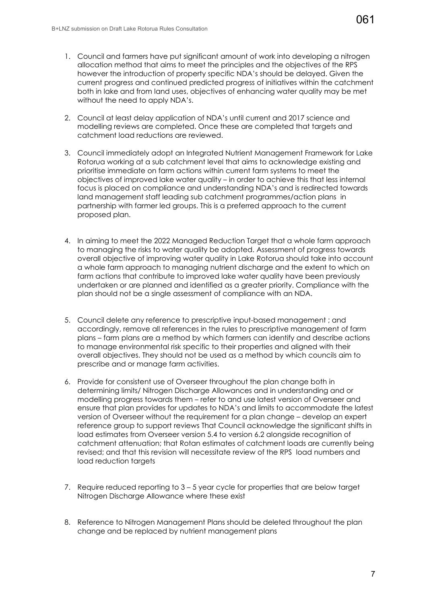- 1. Council and farmers have put significant amount of work into developing a nitrogen allocation method that aims to meet the principles and the objectives of the RPS however the introduction of property specific NDA's should be delayed. Given the current progress and continued predicted progress of initiatives within the catchment both in lake and from land uses, objectives of enhancing water quality may be met without the need to apply NDA's.
- 2. Council at least delay application of NDA's until current and 2017 science and modelling reviews are completed. Once these are completed that targets and catchment load reductions are reviewed.
- 3. Council immediately adopt an Integrated Nutrient Management Framework for Lake Rotorua working at a sub catchment level that aims to acknowledge existing and prioritise immediate on farm actions within current farm systems to meet the objectives of improved lake water quality – in order to achieve this that less internal focus is placed on compliance and understanding NDA's and is redirected towards land management staff leading sub catchment programmes/action plans in partnership with farmer led groups. This is a preferred approach to the current proposed plan.
- 4. In aiming to meet the 2022 Managed Reduction Target that a whole farm approach to managing the risks to water quality be adopted. Assessment of progress towards overall objective of improving water quality in Lake Rotorua should take into account a whole farm approach to managing nutrient discharge and the extent to which on farm actions that contribute to improved lake water quality have been previously undertaken or are planned and identified as a greater priority. Compliance with the plan should not be a single assessment of compliance with an NDA.
- 5. Council delete any reference to prescriptive input-based management ; and accordingly, remove all references in the rules to prescriptive management of farm plans – farm plans are a method by which farmers can identify and describe actions to manage environmental risk specific to their properties and aligned with their overall objectives. They should not be used as a method by which councils aim to prescribe and or manage farm activities.
- 6. Provide for consistent use of Overseer throughout the plan change both in determining limits/ Nitrogen Discharge Allowances and in understanding and or modelling progress towards them – refer to and use latest version of Overseer and ensure that plan provides for updates to NDA's and limits to accommodate the latest version of Overseer without the requirement for a plan change – develop an expert reference group to support reviews That Council acknowledge the significant shifts in load estimates from Overseer version 5.4 to version 6.2 alongside recognition of catchment attenuation; that Rotan estimates of catchment loads are currently being revised; and that this revision will necessitate review of the RPS load numbers and load reduction targets
- 7. Require reduced reporting to 3 5 year cycle for properties that are below target Nitrogen Discharge Allowance where these exist
- 8. Reference to Nitrogen Management Plans should be deleted throughout the plan change and be replaced by nutrient management plans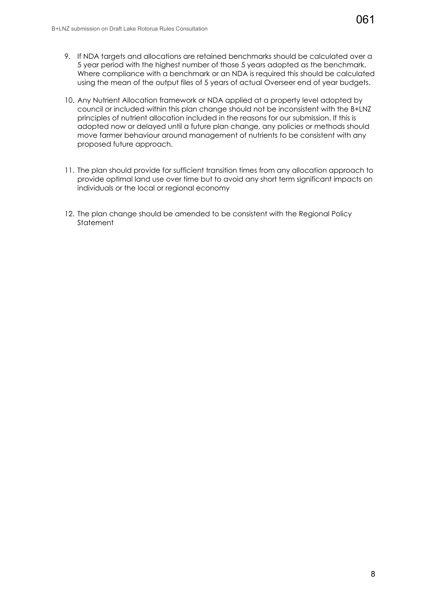- 9. If NDA targets and allocations are retained benchmarks should be calculated over a 5 year period with the highest number of those 5 years adopted as the benchmark. Where compliance with a benchmark or an NDA is required this should be calculated using the mean of the output files of 5 years of actual Overseer end of year budgets.
- 10. Any Nutrient Allocation framework or NDA applied at a property level adopted by council or included within this plan change should not be inconsistent with the B+LNZ principles of nutrient allocation included in the reasons for our submission. If this is adopted now or delayed until a future plan change, any policies or methods should move farmer behaviour around management of nutrients to be consistent with any proposed future approach.
- 11. The plan should provide for sufficient transition times from any allocation approach to provide optimal land use over time but to avoid any short term significant impacts on individuals or the local or regional economy
- 12. The plan change should be amended to be consistent with the Regional Policy **Statement**

061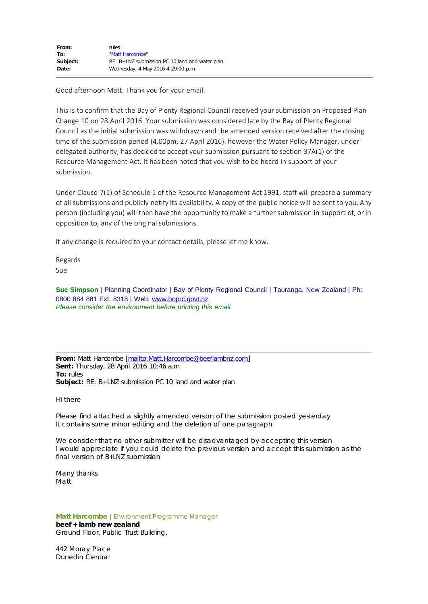| From:    | rules                                            |
|----------|--------------------------------------------------|
| To:      | "Matt Harcombe"                                  |
| Subject: | $RE: B+LNZ$ submission PC 10 land and water plan |
| Date:    | Wednesday, 4 May 2016 4:29:00 p.m.               |

Good afternoon Matt. Thank you for your email.

This is to confirm that the Bay of Plenty Regional Council received your submission on Proposed Plan Change 10 on 28 April 2016. Your submission was considered late by the Bay of Plenty Regional Council as the initial submission was withdrawn and the amended version received after the closing time of the submission period (4.00pm, 27 April 2016). however the Water Policy Manager, under delegated authority, has decided to accept your submission pursuant to section 37A(1) of the Resource Management Act. It has been noted that you wish to be heard in support of your submission.

Under Clause 7(1) of Schedule 1 of the Resource Management Act 1991, staff will prepare a summary of all submissions and publicly notify its availability. A copy of the public notice will be sent to you. Any person (including you) will then have the opportunity to make a further submission in support of, or in opposition to, any of the original submissions.

If any change is required to your contact details, please let me know.

Regards Sue

**Sue Simpson** | Planning Coordinator | Bay of Plenty Regional Council | Tauranga, New Zealand | Ph: 0800 884 881 Ext. 8318 | Web: [www.boprc.govt.nz](http://www.boprc.govt.nz/) *Please consider the environment before printing this email*

**From:** Matt Harcombe [\[mailto:Matt.Harcombe@beeflambnz.com\]](mailto:Matt.Harcombe@beeflambnz.com) **Sent:** Thursday, 28 April 2016 10:46 a.m. **To:** rules **Subject:** RE: B+LNZ submission PC 10 land and water plan

Hi there

Please find attached a slightly amended version of the submission posted yesterday It contains some minor editing and the deletion of one paragraph

We consider that no other submitter will be disadvantaged by accepting this version I would appreciate if you could delete the previous version and accept this submission as the final version of B+LNZ submission

Many thanks Matt

**Matt Harcombe** |Environment Programme Manager **beef + lamb new zealand** Ground Floor, Public Trust Building,

442 Moray Place Dunedin Central